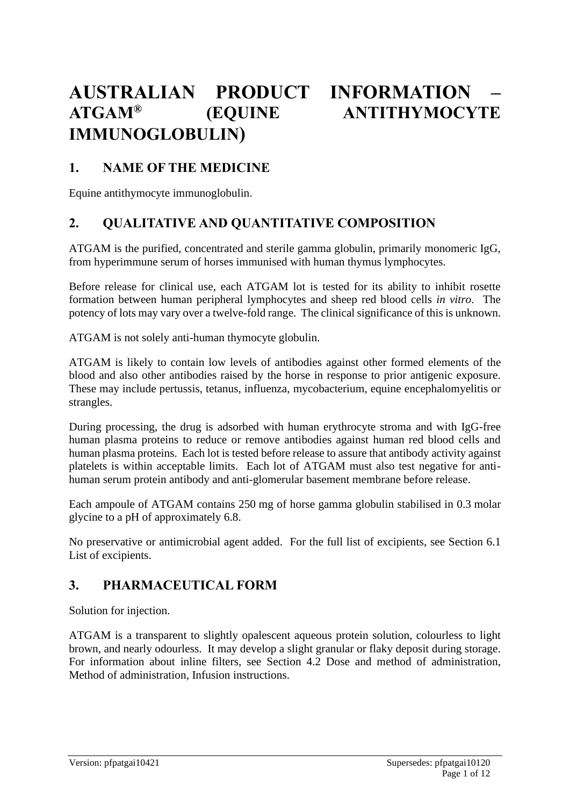# **AUSTRALIAN PRODUCT INFORMATION – ATGAM® (EQUINE ANTITHYMOCYTE IMMUNOGLOBULIN)**

# **1. NAME OF THE MEDICINE**

Equine antithymocyte immunoglobulin.

# **2. QUALITATIVE AND QUANTITATIVE COMPOSITION**

ATGAM is the purified, concentrated and sterile gamma globulin, primarily monomeric IgG, from hyperimmune serum of horses immunised with human thymus lymphocytes.

Before release for clinical use, each ATGAM lot is tested for its ability to inhibit rosette formation between human peripheral lymphocytes and sheep red blood cells *in vitro*. The potency of lots may vary over a twelve-fold range. The clinical significance of this is unknown.

ATGAM is not solely anti-human thymocyte globulin.

ATGAM is likely to contain low levels of antibodies against other formed elements of the blood and also other antibodies raised by the horse in response to prior antigenic exposure. These may include pertussis, tetanus, influenza, mycobacterium, equine encephalomyelitis or strangles.

During processing, the drug is adsorbed with human erythrocyte stroma and with IgG-free human plasma proteins to reduce or remove antibodies against human red blood cells and human plasma proteins. Each lot is tested before release to assure that antibody activity against platelets is within acceptable limits. Each lot of ATGAM must also test negative for antihuman serum protein antibody and anti-glomerular basement membrane before release.

Each ampoule of ATGAM contains 250 mg of horse gamma globulin stabilised in 0.3 molar glycine to a pH of approximately 6.8.

No preservative or antimicrobial agent added. For the full list of excipients, see Section 6.1 List of excipients.

# **3. PHARMACEUTICAL FORM**

Solution for injection.

ATGAM is a transparent to slightly opalescent aqueous protein solution, colourless to light brown, and nearly odourless. It may develop a slight granular or flaky deposit during storage. For information about inline filters, see Section 4.2 Dose and method of administration, Method of administration, Infusion instructions.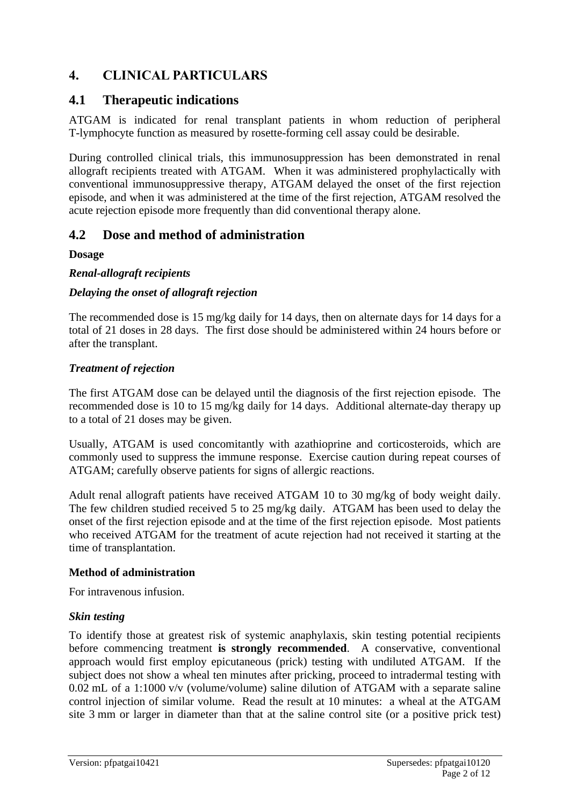# **4. CLINICAL PARTICULARS**

## **4.1 Therapeutic indications**

ATGAM is indicated for renal transplant patients in whom reduction of peripheral T-lymphocyte function as measured by rosette-forming cell assay could be desirable.

During controlled clinical trials, this immunosuppression has been demonstrated in renal allograft recipients treated with ATGAM. When it was administered prophylactically with conventional immunosuppressive therapy, ATGAM delayed the onset of the first rejection episode, and when it was administered at the time of the first rejection, ATGAM resolved the acute rejection episode more frequently than did conventional therapy alone.

# **4.2 Dose and method of administration**

## **Dosage**

## *Renal-allograft recipients*

## *Delaying the onset of allograft rejection*

The recommended dose is 15 mg/kg daily for 14 days, then on alternate days for 14 days for a total of 21 doses in 28 days. The first dose should be administered within 24 hours before or after the transplant.

## *Treatment of rejection*

The first ATGAM dose can be delayed until the diagnosis of the first rejection episode. The recommended dose is 10 to 15 mg/kg daily for 14 days. Additional alternate-day therapy up to a total of 21 doses may be given.

Usually, ATGAM is used concomitantly with azathioprine and corticosteroids, which are commonly used to suppress the immune response. Exercise caution during repeat courses of ATGAM; carefully observe patients for signs of allergic reactions.

Adult renal allograft patients have received ATGAM 10 to 30 mg/kg of body weight daily. The few children studied received 5 to 25 mg/kg daily. ATGAM has been used to delay the onset of the first rejection episode and at the time of the first rejection episode. Most patients who received ATGAM for the treatment of acute rejection had not received it starting at the time of transplantation.

### **Method of administration**

For intravenous infusion.

## *Skin testing*

To identify those at greatest risk of systemic anaphylaxis, skin testing potential recipients before commencing treatment **is strongly recommended**. A conservative, conventional approach would first employ epicutaneous (prick) testing with undiluted ATGAM. If the subject does not show a wheal ten minutes after pricking, proceed to intradermal testing with 0.02 mL of a 1:1000 v/v (volume/volume) saline dilution of ATGAM with a separate saline control injection of similar volume. Read the result at 10 minutes: a wheal at the ATGAM site 3 mm or larger in diameter than that at the saline control site (or a positive prick test)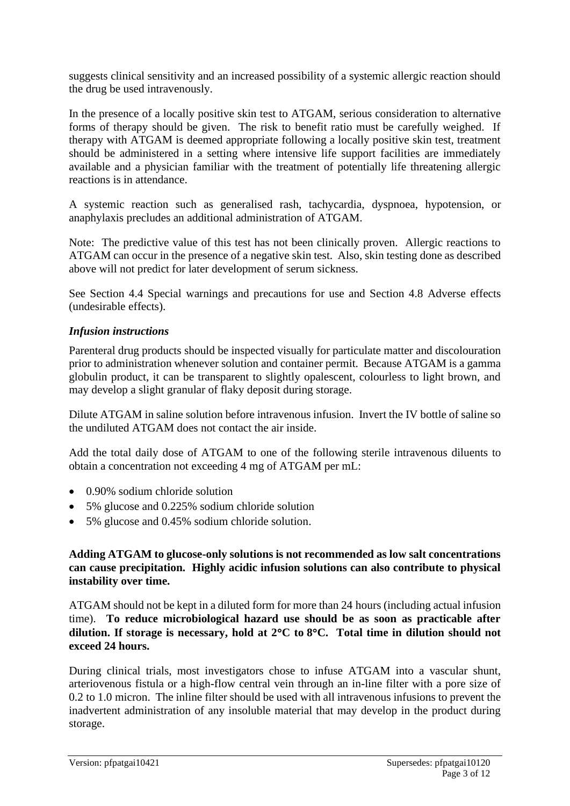suggests clinical sensitivity and an increased possibility of a systemic allergic reaction should the drug be used intravenously.

In the presence of a locally positive skin test to ATGAM, serious consideration to alternative forms of therapy should be given. The risk to benefit ratio must be carefully weighed. If therapy with ATGAM is deemed appropriate following a locally positive skin test, treatment should be administered in a setting where intensive life support facilities are immediately available and a physician familiar with the treatment of potentially life threatening allergic reactions is in attendance.

A systemic reaction such as generalised rash, tachycardia, dyspnoea, hypotension, or anaphylaxis precludes an additional administration of ATGAM.

Note: The predictive value of this test has not been clinically proven. Allergic reactions to ATGAM can occur in the presence of a negative skin test. Also, skin testing done as described above will not predict for later development of serum sickness.

See Section 4.4 Special warnings and precautions for use and Section 4.8 Adverse effects (undesirable effects).

### *Infusion instructions*

Parenteral drug products should be inspected visually for particulate matter and discolouration prior to administration whenever solution and container permit. Because ATGAM is a gamma globulin product, it can be transparent to slightly opalescent, colourless to light brown, and may develop a slight granular of flaky deposit during storage.

Dilute ATGAM in saline solution before intravenous infusion. Invert the IV bottle of saline so the undiluted ATGAM does not contact the air inside.

Add the total daily dose of ATGAM to one of the following sterile intravenous diluents to obtain a concentration not exceeding 4 mg of ATGAM per mL:

- 0.90% sodium chloride solution
- 5% glucose and 0.225% sodium chloride solution
- 5% glucose and 0.45% sodium chloride solution.

### **Adding ATGAM to glucose-only solutions is not recommended as low salt concentrations can cause precipitation. Highly acidic infusion solutions can also contribute to physical instability over time.**

ATGAM should not be kept in a diluted form for more than 24 hours (including actual infusion time). **To reduce microbiological hazard use should be as soon as practicable after dilution. If storage is necessary, hold at 2C to 8C. Total time in dilution should not exceed 24 hours.**

During clinical trials, most investigators chose to infuse ATGAM into a vascular shunt, arteriovenous fistula or a high-flow central vein through an in-line filter with a pore size of 0.2 to 1.0 micron. The inline filter should be used with all intravenous infusions to prevent the inadvertent administration of any insoluble material that may develop in the product during storage.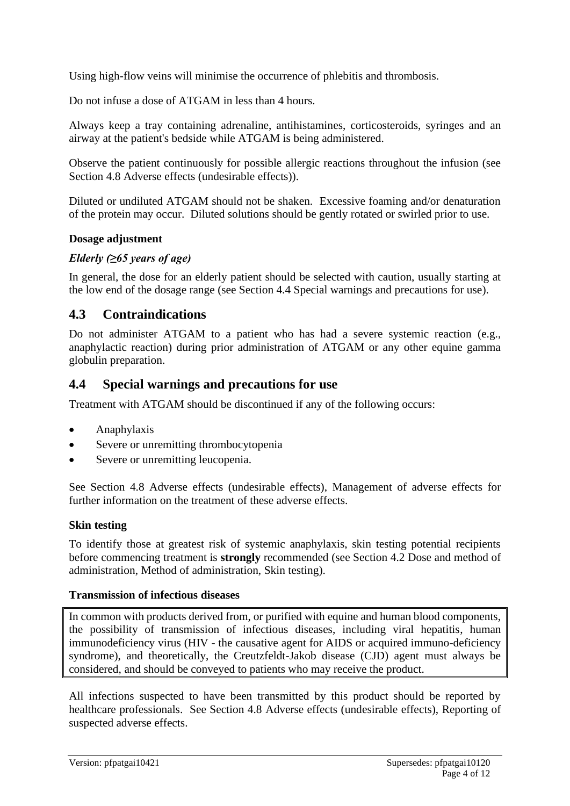Using high-flow veins will minimise the occurrence of phlebitis and thrombosis.

Do not infuse a dose of ATGAM in less than 4 hours.

Always keep a tray containing adrenaline, antihistamines, corticosteroids, syringes and an airway at the patient's bedside while ATGAM is being administered.

Observe the patient continuously for possible allergic reactions throughout the infusion (see Section 4.8 Adverse effects (undesirable effects)).

Diluted or undiluted ATGAM should not be shaken. Excessive foaming and/or denaturation of the protein may occur. Diluted solutions should be gently rotated or swirled prior to use.

### **Dosage adjustment**

## *Elderly (≥65 years of age)*

In general, the dose for an elderly patient should be selected with caution, usually starting at the low end of the dosage range (see Section 4.4 Special warnings and precautions for use).

## **4.3 Contraindications**

Do not administer ATGAM to a patient who has had a severe systemic reaction (e.g., anaphylactic reaction) during prior administration of ATGAM or any other equine gamma globulin preparation.

## **4.4 Special warnings and precautions for use**

Treatment with ATGAM should be discontinued if any of the following occurs:

- Anaphylaxis
- Severe or unremitting thrombocytopenia
- Severe or unremitting leucopenia.

See Section 4.8 Adverse effects (undesirable effects), Management of adverse effects for further information on the treatment of these adverse effects.

### **Skin testing**

To identify those at greatest risk of systemic anaphylaxis, skin testing potential recipients before commencing treatment is **strongly** recommended (see Section 4.2 Dose and method of administration, Method of administration, Skin testing).

### **Transmission of infectious diseases**

In common with products derived from, or purified with equine and human blood components, the possibility of transmission of infectious diseases, including viral hepatitis, human immunodeficiency virus (HIV - the causative agent for AIDS or acquired immuno-deficiency syndrome), and theoretically, the Creutzfeldt-Jakob disease (CJD) agent must always be considered, and should be conveyed to patients who may receive the product.

All infections suspected to have been transmitted by this product should be reported by healthcare professionals. See Section 4.8 Adverse effects (undesirable effects), Reporting of suspected adverse effects.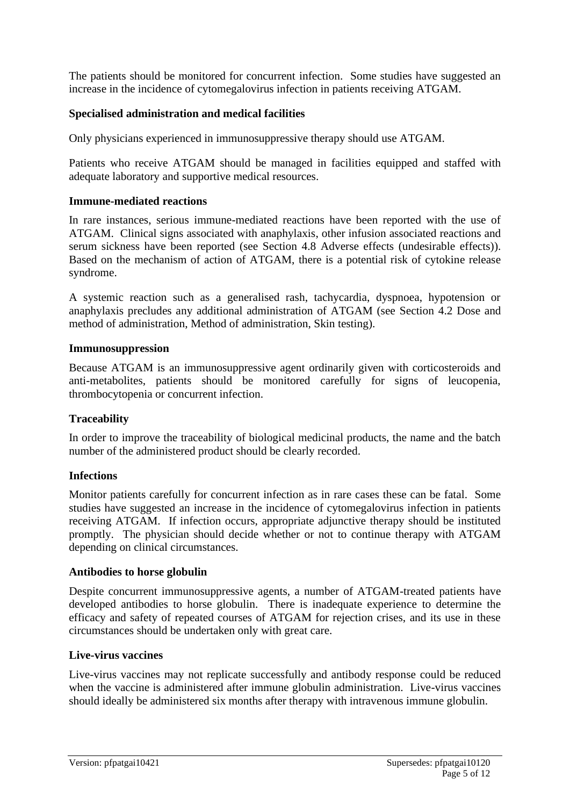The patients should be monitored for concurrent infection. Some studies have suggested an increase in the incidence of cytomegalovirus infection in patients receiving ATGAM.

### **Specialised administration and medical facilities**

Only physicians experienced in immunosuppressive therapy should use ATGAM.

Patients who receive ATGAM should be managed in facilities equipped and staffed with adequate laboratory and supportive medical resources.

### **Immune-mediated reactions**

In rare instances, serious immune-mediated reactions have been reported with the use of ATGAM. Clinical signs associated with anaphylaxis, other infusion associated reactions and serum sickness have been reported (see Section 4.8 Adverse effects (undesirable effects)). Based on the mechanism of action of ATGAM, there is a potential risk of cytokine release syndrome.

A systemic reaction such as a generalised rash, tachycardia, dyspnoea, hypotension or anaphylaxis precludes any additional administration of ATGAM (see Section 4.2 Dose and method of administration, Method of administration, Skin testing).

#### **Immunosuppression**

Because ATGAM is an immunosuppressive agent ordinarily given with corticosteroids and anti-metabolites, patients should be monitored carefully for signs of leucopenia, thrombocytopenia or concurrent infection.

### **Traceability**

In order to improve the traceability of biological medicinal products, the name and the batch number of the administered product should be clearly recorded.

### **Infections**

Monitor patients carefully for concurrent infection as in rare cases these can be fatal. Some studies have suggested an increase in the incidence of cytomegalovirus infection in patients receiving ATGAM. If infection occurs, appropriate adjunctive therapy should be instituted promptly. The physician should decide whether or not to continue therapy with ATGAM depending on clinical circumstances.

### **Antibodies to horse globulin**

Despite concurrent immunosuppressive agents, a number of ATGAM-treated patients have developed antibodies to horse globulin. There is inadequate experience to determine the efficacy and safety of repeated courses of ATGAM for rejection crises, and its use in these circumstances should be undertaken only with great care.

### **Live-virus vaccines**

Live-virus vaccines may not replicate successfully and antibody response could be reduced when the vaccine is administered after immune globulin administration. Live-virus vaccines should ideally be administered six months after therapy with intravenous immune globulin.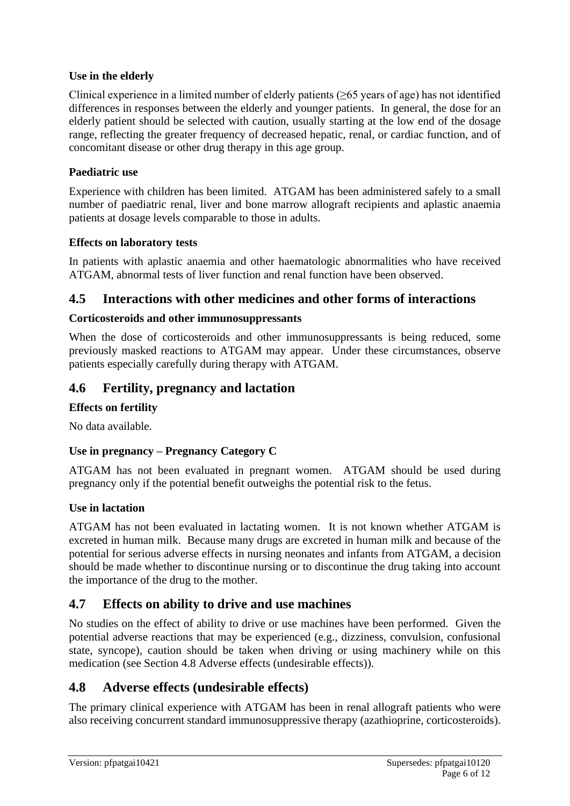## **Use in the elderly**

Clinical experience in a limited number of elderly patients ( $\geq$ 65 years of age) has not identified differences in responses between the elderly and younger patients. In general, the dose for an elderly patient should be selected with caution, usually starting at the low end of the dosage range, reflecting the greater frequency of decreased hepatic, renal, or cardiac function, and of concomitant disease or other drug therapy in this age group.

### **Paediatric use**

Experience with children has been limited. ATGAM has been administered safely to a small number of paediatric renal, liver and bone marrow allograft recipients and aplastic anaemia patients at dosage levels comparable to those in adults.

## **Effects on laboratory tests**

In patients with aplastic anaemia and other haematologic abnormalities who have received ATGAM, abnormal tests of liver function and renal function have been observed.

## **4.5 Interactions with other medicines and other forms of interactions**

## **Corticosteroids and other immunosuppressants**

When the dose of corticosteroids and other immunosuppressants is being reduced, some previously masked reactions to ATGAM may appear. Under these circumstances, observe patients especially carefully during therapy with ATGAM.

## **4.6 Fertility, pregnancy and lactation**

### **Effects on fertility**

No data available.

## **Use in pregnancy – Pregnancy Category C**

ATGAM has not been evaluated in pregnant women. ATGAM should be used during pregnancy only if the potential benefit outweighs the potential risk to the fetus.

### **Use in lactation**

ATGAM has not been evaluated in lactating women. It is not known whether ATGAM is excreted in human milk. Because many drugs are excreted in human milk and because of the potential for serious adverse effects in nursing neonates and infants from ATGAM, a decision should be made whether to discontinue nursing or to discontinue the drug taking into account the importance of the drug to the mother.

## **4.7 Effects on ability to drive and use machines**

No studies on the effect of ability to drive or use machines have been performed. Given the potential adverse reactions that may be experienced (e.g., dizziness, convulsion, confusional state, syncope), caution should be taken when driving or using machinery while on this medication (see Section 4.8 Adverse effects (undesirable effects)).

## **4.8 Adverse effects (undesirable effects)**

The primary clinical experience with ATGAM has been in renal allograft patients who were also receiving concurrent standard immunosuppressive therapy (azathioprine, corticosteroids).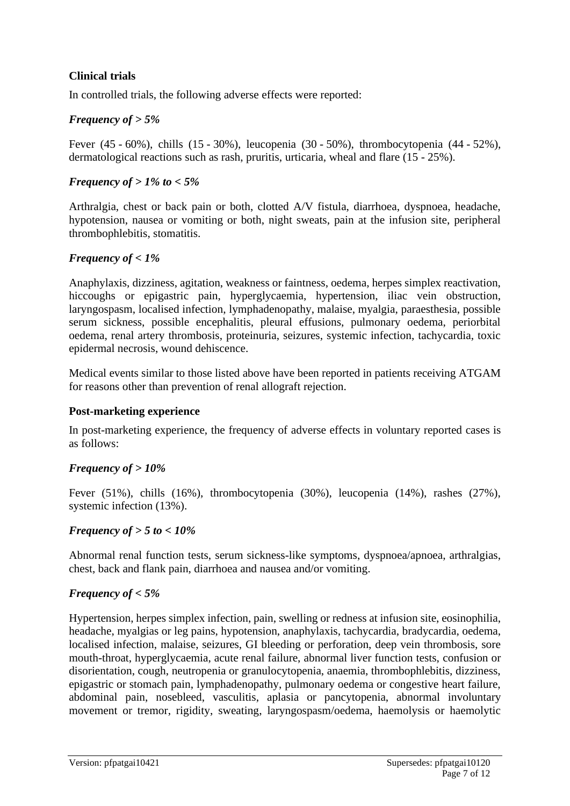## **Clinical trials**

In controlled trials, the following adverse effects were reported:

## *Frequency of > 5%*

Fever (45 - 60%), chills (15 - 30%), leucopenia (30 - 50%), thrombocytopenia (44 - 52%), dermatological reactions such as rash, pruritis, urticaria, wheal and flare (15 - 25%).

## *Frequency of > 1% to < 5%*

Arthralgia, chest or back pain or both, clotted A/V fistula, diarrhoea, dyspnoea, headache, hypotension, nausea or vomiting or both, night sweats, pain at the infusion site, peripheral thrombophlebitis, stomatitis.

## *Frequency of < 1%*

Anaphylaxis, dizziness, agitation, weakness or faintness, oedema, herpes simplex reactivation, hiccoughs or epigastric pain, hyperglycaemia, hypertension, iliac vein obstruction, laryngospasm, localised infection, lymphadenopathy, malaise, myalgia, paraesthesia, possible serum sickness, possible encephalitis, pleural effusions, pulmonary oedema, periorbital oedema, renal artery thrombosis, proteinuria, seizures, systemic infection, tachycardia, toxic epidermal necrosis, wound dehiscence.

Medical events similar to those listed above have been reported in patients receiving ATGAM for reasons other than prevention of renal allograft rejection.

### **Post-marketing experience**

In post-marketing experience, the frequency of adverse effects in voluntary reported cases is as follows:

## *Frequency of > 10%*

Fever (51%), chills (16%), thrombocytopenia (30%), leucopenia (14%), rashes (27%), systemic infection (13%).

### *Frequency of > 5 to < 10%*

Abnormal renal function tests, serum sickness-like symptoms, dyspnoea/apnoea, arthralgias, chest, back and flank pain, diarrhoea and nausea and/or vomiting.

## *Frequency of < 5%*

Hypertension, herpes simplex infection, pain, swelling or redness at infusion site, eosinophilia, headache, myalgias or leg pains, hypotension, anaphylaxis, tachycardia, bradycardia, oedema, localised infection, malaise, seizures, GI bleeding or perforation, deep vein thrombosis, sore mouth-throat, hyperglycaemia, acute renal failure, abnormal liver function tests, confusion or disorientation, cough, neutropenia or granulocytopenia, anaemia, thrombophlebitis, dizziness, epigastric or stomach pain, lymphadenopathy, pulmonary oedema or congestive heart failure, abdominal pain, nosebleed, vasculitis, aplasia or pancytopenia, abnormal involuntary movement or tremor, rigidity, sweating, laryngospasm/oedema, haemolysis or haemolytic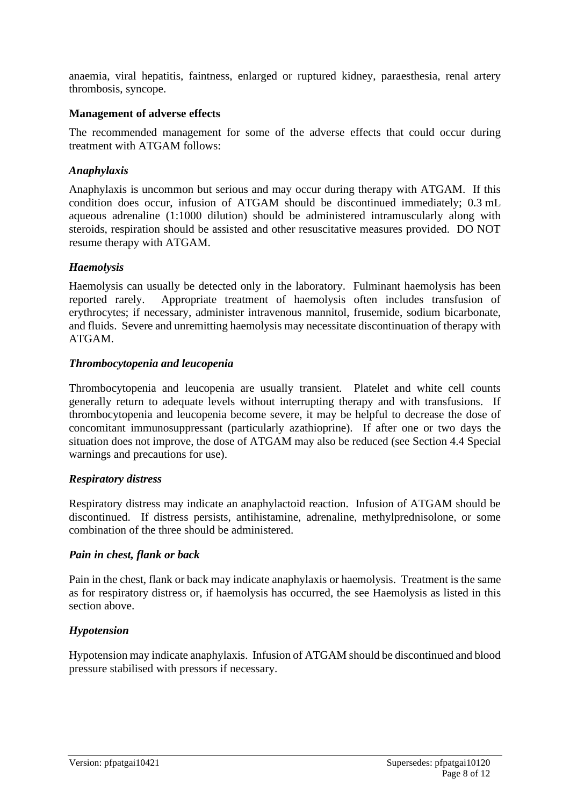anaemia, viral hepatitis, faintness, enlarged or ruptured kidney, paraesthesia, renal artery thrombosis, syncope.

### **Management of adverse effects**

The recommended management for some of the adverse effects that could occur during treatment with ATGAM follows:

#### *Anaphylaxis*

Anaphylaxis is uncommon but serious and may occur during therapy with ATGAM. If this condition does occur, infusion of ATGAM should be discontinued immediately; 0.3 mL aqueous adrenaline (1:1000 dilution) should be administered intramuscularly along with steroids, respiration should be assisted and other resuscitative measures provided. DO NOT resume therapy with ATGAM.

#### *Haemolysis*

Haemolysis can usually be detected only in the laboratory. Fulminant haemolysis has been reported rarely. Appropriate treatment of haemolysis often includes transfusion of erythrocytes; if necessary, administer intravenous mannitol, frusemide, sodium bicarbonate, and fluids. Severe and unremitting haemolysis may necessitate discontinuation of therapy with ATGAM.

#### *Thrombocytopenia and leucopenia*

Thrombocytopenia and leucopenia are usually transient. Platelet and white cell counts generally return to adequate levels without interrupting therapy and with transfusions. If thrombocytopenia and leucopenia become severe, it may be helpful to decrease the dose of concomitant immunosuppressant (particularly azathioprine). If after one or two days the situation does not improve, the dose of ATGAM may also be reduced (see Section 4.4 Special warnings and precautions for use).

### *Respiratory distress*

Respiratory distress may indicate an anaphylactoid reaction. Infusion of ATGAM should be discontinued. If distress persists, antihistamine, adrenaline, methylprednisolone, or some combination of the three should be administered.

#### *Pain in chest, flank or back*

Pain in the chest, flank or back may indicate anaphylaxis or haemolysis. Treatment is the same as for respiratory distress or, if haemolysis has occurred, the see Haemolysis as listed in this section above.

### *Hypotension*

Hypotension may indicate anaphylaxis. Infusion of ATGAM should be discontinued and blood pressure stabilised with pressors if necessary.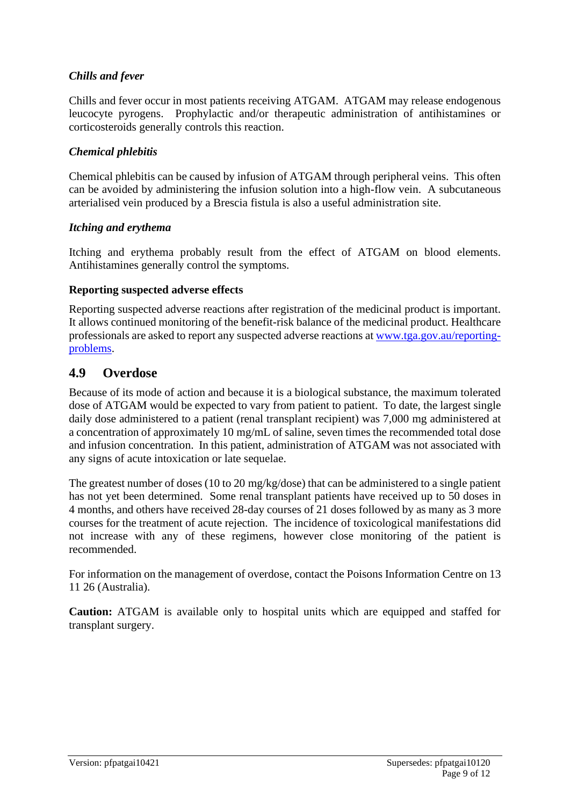## *Chills and fever*

Chills and fever occur in most patients receiving ATGAM. ATGAM may release endogenous leucocyte pyrogens. Prophylactic and/or therapeutic administration of antihistamines or corticosteroids generally controls this reaction.

## *Chemical phlebitis*

Chemical phlebitis can be caused by infusion of ATGAM through peripheral veins. This often can be avoided by administering the infusion solution into a high-flow vein. A subcutaneous arterialised vein produced by a Brescia fistula is also a useful administration site.

### *Itching and erythema*

Itching and erythema probably result from the effect of ATGAM on blood elements. Antihistamines generally control the symptoms.

### **Reporting suspected adverse effects**

Reporting suspected adverse reactions after registration of the medicinal product is important. It allows continued monitoring of the benefit-risk balance of the medicinal product. Healthcare professionals are asked to report any suspected adverse reactions at [www.tga.gov.au/reporting](http://www.tga.gov.au/reporting-problems)[problems.](http://www.tga.gov.au/reporting-problems)

## **4.9 Overdose**

Because of its mode of action and because it is a biological substance, the maximum tolerated dose of ATGAM would be expected to vary from patient to patient. To date, the largest single daily dose administered to a patient (renal transplant recipient) was 7,000 mg administered at a concentration of approximately 10 mg/mL of saline, seven times the recommended total dose and infusion concentration. In this patient, administration of ATGAM was not associated with any signs of acute intoxication or late sequelae.

The greatest number of doses (10 to 20 mg/kg/dose) that can be administered to a single patient has not yet been determined. Some renal transplant patients have received up to 50 doses in 4 months, and others have received 28-day courses of 21 doses followed by as many as 3 more courses for the treatment of acute rejection. The incidence of toxicological manifestations did not increase with any of these regimens, however close monitoring of the patient is recommended.

For information on the management of overdose, contact the Poisons Information Centre on 13 11 26 (Australia).

**Caution:** ATGAM is available only to hospital units which are equipped and staffed for transplant surgery.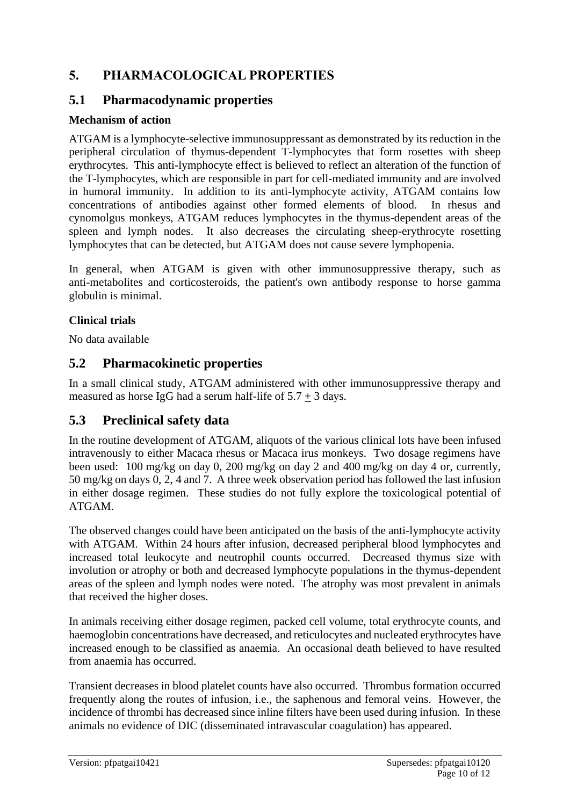# **5. PHARMACOLOGICAL PROPERTIES**

# **5.1 Pharmacodynamic properties**

## **Mechanism of action**

ATGAM is a lymphocyte-selective immunosuppressant as demonstrated by its reduction in the peripheral circulation of thymus-dependent T-lymphocytes that form rosettes with sheep erythrocytes. This anti-lymphocyte effect is believed to reflect an alteration of the function of the T-lymphocytes, which are responsible in part for cell-mediated immunity and are involved in humoral immunity. In addition to its anti-lymphocyte activity, ATGAM contains low concentrations of antibodies against other formed elements of blood. In rhesus and cynomolgus monkeys, ATGAM reduces lymphocytes in the thymus-dependent areas of the spleen and lymph nodes. It also decreases the circulating sheep-erythrocyte rosetting lymphocytes that can be detected, but ATGAM does not cause severe lymphopenia.

In general, when ATGAM is given with other immunosuppressive therapy, such as anti-metabolites and corticosteroids, the patient's own antibody response to horse gamma globulin is minimal.

## **Clinical trials**

No data available

# **5.2 Pharmacokinetic properties**

In a small clinical study, ATGAM administered with other immunosuppressive therapy and measured as horse IgG had a serum half-life of  $5.7 + 3$  days.

# **5.3 Preclinical safety data**

In the routine development of ATGAM, aliquots of the various clinical lots have been infused intravenously to either Macaca rhesus or Macaca irus monkeys. Two dosage regimens have been used: 100 mg/kg on day 0, 200 mg/kg on day 2 and 400 mg/kg on day 4 or, currently, 50 mg/kg on days 0, 2, 4 and 7. A three week observation period has followed the last infusion in either dosage regimen. These studies do not fully explore the toxicological potential of ATGAM.

The observed changes could have been anticipated on the basis of the anti-lymphocyte activity with ATGAM. Within 24 hours after infusion, decreased peripheral blood lymphocytes and increased total leukocyte and neutrophil counts occurred. Decreased thymus size with involution or atrophy or both and decreased lymphocyte populations in the thymus-dependent areas of the spleen and lymph nodes were noted. The atrophy was most prevalent in animals that received the higher doses.

In animals receiving either dosage regimen, packed cell volume, total erythrocyte counts, and haemoglobin concentrations have decreased, and reticulocytes and nucleated erythrocytes have increased enough to be classified as anaemia. An occasional death believed to have resulted from anaemia has occurred.

Transient decreases in blood platelet counts have also occurred. Thrombus formation occurred frequently along the routes of infusion, i.e., the saphenous and femoral veins. However, the incidence of thrombi has decreased since inline filters have been used during infusion. In these animals no evidence of DIC (disseminated intravascular coagulation) has appeared.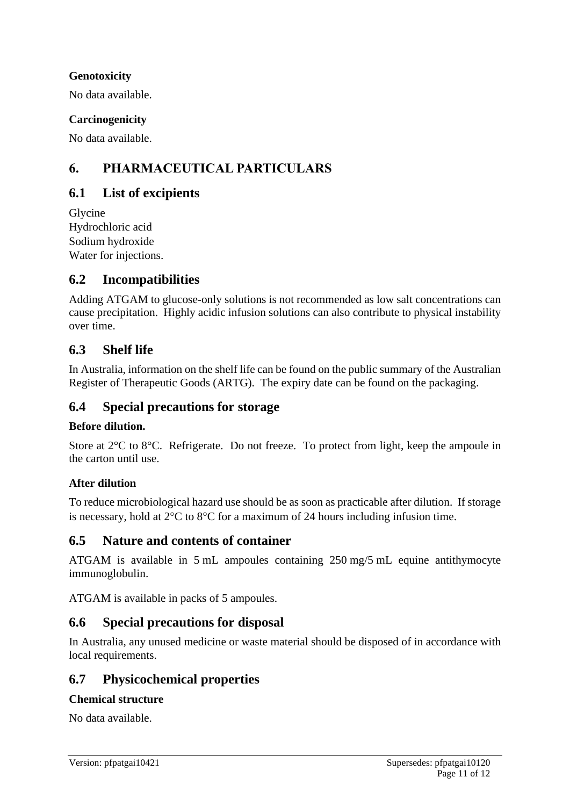## **Genotoxicity**

No data available.

## **Carcinogenicity**

No data available.

# **6. PHARMACEUTICAL PARTICULARS**

# **6.1 List of excipients**

Glycine Hydrochloric acid Sodium hydroxide Water for injections.

## **6.2 Incompatibilities**

Adding ATGAM to glucose-only solutions is not recommended as low salt concentrations can cause precipitation. Highly acidic infusion solutions can also contribute to physical instability over time.

## **6.3 Shelf life**

In Australia, information on the shelf life can be found on the public summary of the Australian Register of Therapeutic Goods (ARTG). The expiry date can be found on the packaging.

## **6.4 Special precautions for storage**

### **Before dilution.**

Store at 2°C to 8°C. Refrigerate. Do not freeze. To protect from light, keep the ampoule in the carton until use.

## **After dilution**

To reduce microbiological hazard use should be as soon as practicable after dilution. If storage is necessary, hold at  $2^{\circ}C$  to  $8^{\circ}C$  for a maximum of 24 hours including infusion time.

## **6.5 Nature and contents of container**

ATGAM is available in 5 mL ampoules containing 250 mg/5 mL equine antithymocyte immunoglobulin.

ATGAM is available in packs of 5 ampoules.

## **6.6 Special precautions for disposal**

In Australia, any unused medicine or waste material should be disposed of in accordance with local requirements.

## **6.7 Physicochemical properties**

### **Chemical structure**

No data available.